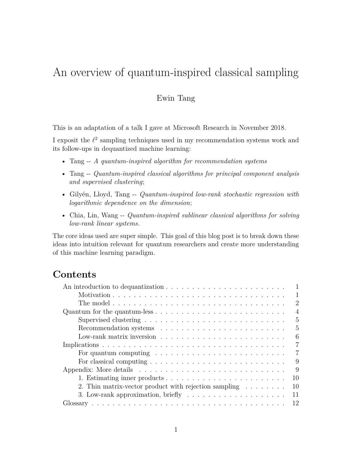# <span id="page-0-0"></span>An overview of quantum-inspired classical sampling

## Ewin Tang

This is an adaptation of a talk I gave at Microsoft Research in November 2018.

I exposit the  $\ell^2$  sampling techniques used in my recommendation systems work and its follow-ups in dequantized machine learning:

- Tang -- *[A quantum-inspired algorithm for recommendation systems](https://arxiv.org/abs/1807.04271)*
- Tang -- *[Quantum-inspired classical algorithms for principal component analysis](https://arxiv.org/abs/1811.00414) [and supervised clustering](https://arxiv.org/abs/1811.00414)*;
- Gilyén, Lloyd, Tang -- *[Quantum-inspired low-rank stochastic regression with](https://arxiv.org/abs/1811.04909) [logarithmic dependence on the dimension](https://arxiv.org/abs/1811.04909)*;
- Chia, Lin, Wang -- *[Quantum-inspired sublinear classical algorithms for solving](https://arxiv.org/abs/1811.04852) [low-rank linear systems](https://arxiv.org/abs/1811.04852)*.

The core ideas used are super simple. This goal of this blog post is to break down these ideas into intuition relevant for quantum researchers and create more understanding of this machine learning paradigm.

## **Contents**

| 1                                                                                                               |
|-----------------------------------------------------------------------------------------------------------------|
| $\mathcal{D}_{\mathcal{A}}$                                                                                     |
| $\overline{4}$<br>Quantum for the quantum-less $\ldots \ldots \ldots \ldots \ldots \ldots \ldots \ldots \ldots$ |
| $\mathbf{5}$                                                                                                    |
| $\mathbf{5}$                                                                                                    |
| 6                                                                                                               |
| 7                                                                                                               |
| 7<br>For quantum computing $\ldots \ldots \ldots \ldots \ldots \ldots \ldots \ldots$                            |
| 9<br>For classical computing $\ldots \ldots \ldots \ldots \ldots \ldots \ldots \ldots \ldots$                   |
| 9                                                                                                               |
| 10                                                                                                              |
| 2. Thin matrix-vector product with rejection sampling $\dots \dots$<br>10                                       |
| 11<br>3. Low-rank approximation, briefly $\dots \dots \dots \dots \dots \dots \dots$                            |
| 12                                                                                                              |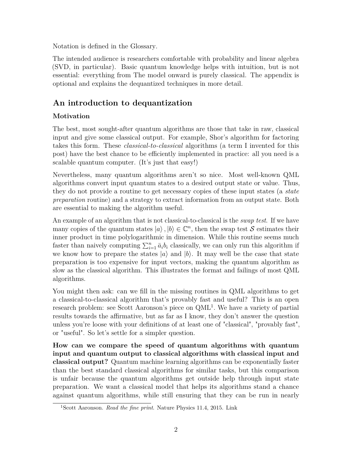Notation is defined in the [Glossary.](#page-11-0)

The intended audience is researchers comfortable with probability and linear algebra (SVD, in particular). Basic quantum knowledge helps with intuition, but is not essential: everything from [The model](#page-0-0) onward is purely classical. The appendix is optional and explains the dequantized techniques in more detail.

## <span id="page-1-0"></span>**An introduction to dequantization**

## <span id="page-1-1"></span>**Motivation**

The best, most sought-after quantum algorithms are those that take in raw, classical input and give some classical output. For example, Shor's algorithm for factoring takes this form. These *classical-to-classical* algorithms (a term I invented for this post) have the best chance to be efficiently implemented in practice: all you need is a scalable quantum computer. (It's just that easy!)

Nevertheless, many quantum algorithms aren't so nice. Most well-known QML algorithms convert input quantum states to a desired output state or value. Thus, they do not provide a routine to get necessary copies of these input states (a *state preparation* routine) and a strategy to extract information from an output state. Both are essential to making the algorithm useful.

An example of an algorithm that is not classical-to-classical is the *swap test*. If we have many copies of the quantum states  $|a\rangle$ ,  $|b\rangle \in \mathbb{C}^n$ , then the swap test S estimates their inner product in time polylogarithmic in dimension. While this routine seems much faster than naively computing  $\sum_{i=1}^{n} \bar{a}_i b_i$  classically, we can only run this algorithm if we know how to prepare the states  $|a\rangle$  and  $|b\rangle$ . It may well be the case that state preparation is too expensive for input vectors, making the quantum algorithm as slow as the classical algorithm. This illustrates the format and failings of most QML algorithms.

You might then ask: can we fill in the missing routines in QML algorithms to get a classical-to-classical algorithm that's provably fast and useful? This is an open research problem: see Scott Aaronson's piece on QML<sup>[1](#page-1-2)</sup>. We have a variety of partial results towards the affirmative, but as far as I know, they don't answer the question unless you're loose with your definitions of at least one of "classical", "provably fast", or "useful". So let's settle for a simpler question.

**How can we compare the speed of quantum algorithms with quantum input and quantum output to classical algorithms with classical input and classical output?** Quantum machine learning algorithms can be exponentially faster than the best standard classical algorithms for similar tasks, but this comparison is unfair because the quantum algorithms get outside help through input state preparation. We want a classical model that helps its algorithms stand a chance against quantum algorithms, while still ensuring that they can be run in nearly

<span id="page-1-2"></span><sup>1</sup>Scott Aaronson. *Read the fine print*. Nature Physics 11.4, 2015. [Link](https://www.scottaaronson.com/papers/qml.pdf)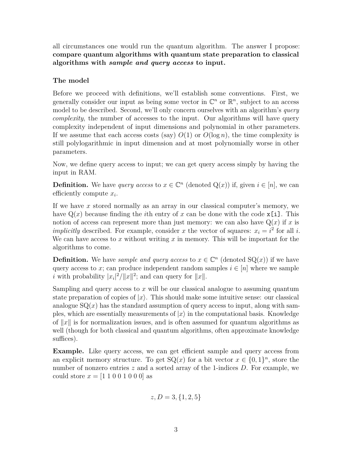all circumstances one would run the quantum algorithm. The answer I propose: **compare quantum algorithms with quantum state preparation to classical algorithms with** *sample and query access* **to input.**

## <span id="page-2-0"></span>**The model**

Before we proceed with definitions, we'll establish some conventions. First, we generally consider our input as being some vector in  $\mathbb{C}^n$  or  $\mathbb{R}^n$ , subject to an access model to be described. Second, we'll only concern ourselves with an algorithm's *query complexity*, the number of accesses to the input. Our algorithms will have query complexity independent of input dimensions and polynomial in other parameters. If we assume that each access costs (say)  $O(1)$  or  $O(\log n)$ , the time complexity is still polylogarithmic in input dimension and at most polynomially worse in other parameters.

Now, we define query access to input; we can get query access simply by having the input in RAM.

**Definition.** We have *query access* to  $x \in \mathbb{C}^n$  (denoted  $Q(x)$ ) if, given  $i \in [n]$ , we can efficiently compute *x<sup>i</sup>* .

If we have *x* stored normally as an array in our classical computer's memory, we have  $Q(x)$  because finding the *i*th entry of x can be done with the code  $x[i]$ . This notion of access can represent more than just memory: we can also have  $Q(x)$  if x is *implicitly* described. For example, consider *x* the vector of squares:  $x_i = i^2$  for all *i*. We can have access to *x* without writing *x* in memory. This will be important for the algorithms to come.

**Definition.** We have *sample and query access* to  $x \in \mathbb{C}^n$  (denoted  $\text{SQ}(x)$ ) if we have query access to *x*; can produce independent random samples  $i \in [n]$  where we sample *i* with probability  $|x_i|^2 / ||x||^2$ ; and can query for  $||x||$ .

Sampling and query access to *x* will be our classical analogue to assuming quantum state preparation of copies of  $|x\rangle$ . This should make some intuitive sense: our classical analogue  $\mathrm{SQ}(x)$  has the standard assumption of query access to input, along with samples, which are essentially measurements of  $|x\rangle$  in the computational basis. Knowledge of  $||x||$  is for normalization issues, and is often assumed for quantum algorithms as well (though for both classical and quantum algorithms, often approximate knowledge suffices).

**Example.** Like query access, we can get efficient sample and query access from an explicit memory structure. To get  $SQ(x)$  for a bit vector  $x \in \{0,1\}^n$ , store the number of nonzero entries *z* and a sorted array of the 1-indices *D*. For example, we could store  $x = [1 1 0 0 1 0 0 0]$  as

$$
z, D = 3, \{1, 2, 5\}
$$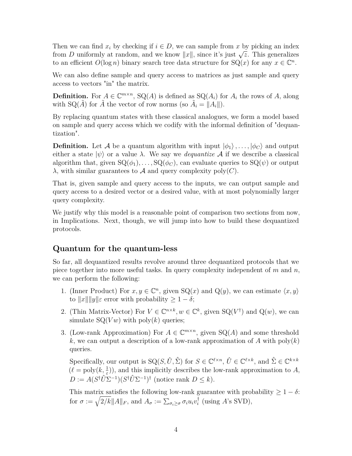Then we can find  $x_i$  by checking if  $i \in D$ , we can sample from x by picking an index First we can find  $x_i$  by checking if  $i \in D$ , we can sample from *x* by picking an index from *D* uniformly at random, and we know  $||x||$ , since it's just  $\sqrt{z}$ . This generalizes to an efficient  $O(\log n)$  binary search tree data structure for  $\mathrm{SQ}(x)$  for any  $x \in \mathbb{C}^n$ .

We can also define sample and query access to matrices as just sample and query access to vectors "in" the matrix.

**Definition.** For  $A \in \mathbb{C}^{m \times n}$ , SQ(*A*) is defined as SQ(*A<sub>i</sub>*) for *A<sub>i</sub>* the rows of *A*, along with  $\text{SQ}(\tilde{A})$  for  $\tilde{A}$  the vector of row norms (so  $\tilde{A}_i = ||A_i||$ ).

By replacing quantum states with these classical analogues, we form a model based on sample and query access which we codify with the informal definition of "dequantization".

**Definition.** Let A be a quantum algorithm with input  $|\phi_1\rangle, \ldots, |\phi_C\rangle$  and output either a state  $|\psi\rangle$  or a value  $\lambda$ . We say we *dequantize* A if we describe a classical algorithm that, given  $SQ(\phi_1), \ldots, SQ(\phi_C)$ , can evaluate queries to  $SQ(\psi)$  or output *λ*, with similar guarantees to *A* and query complexity poly(*C*).

That is, given sample and query access to the inputs, we can output sample and query access to a desired vector or a desired value, with at most polynomially larger query complexity.

We justify why this model is a reasonable point of comparison two sections from now, in [Implications.](#page-6-2) Next, though, we will jump into how to build these dequantized protocols.

## <span id="page-3-0"></span>**Quantum for the quantum-less**

So far, all dequantized results revolve around three dequantized protocols that we piece together into more useful tasks. In query complexity independent of *m* and *n*, we can perform the following:

- 1. [\(Inner Product\)](#page-0-0) For  $x, y \in \mathbb{C}^n$ , given  $\mathrm{SQ}(x)$  and  $\mathrm{Q}(y)$ , we can estimate  $\langle x, y \rangle$ to  $||x|| ||y||\varepsilon$  error with probability  $\geq 1 - \delta$ ;
- 2. [\(Thin Matrix-Vector\)](#page-0-0) For  $V \in \mathbb{C}^{n \times k}$ ,  $w \in \mathbb{C}^k$ , given  $\mathrm{SQ}(V^{\dagger})$  and  $\mathrm{Q}(w)$ , we can simulate  $SQ(Vw)$  with  $poly(k)$  queries;
- 3. [\(Low-rank Approximation\)](#page-0-0) For  $A \in \mathbb{C}^{m \times n}$ , given  $\mathrm{SQ}(A)$  and some threshold  $k$ , we can output a description of a low-rank approximation of A with  $poly(k)$ queries.

Specifically, our output is  $\mathrm{SQ}(S, \hat{U}, \hat{\Sigma})$  for  $S \in \mathbb{C}^{\ell \times n}$ ,  $\hat{U} \in \mathbb{C}^{\ell \times k}$ , and  $\hat{\Sigma} \in \mathbb{C}^{k \times k}$  $(\ell = \text{poly}(k, \frac{1}{\varepsilon}))$ , and this implicitly describes the low-rank approximation to *A*,  $D := A(S^{\dagger} \hat{U} \Sigma^{-1}) (S^{\dagger} \hat{U} \Sigma^{-1})^{\dagger}$  (notice rank  $D \leq k$ ).

This matrix satisfies the following low-rank guarantee with probability  $\geq 1 - \delta$ : for  $\sigma := \sqrt{2/k} ||A||_F$ , and  $A_{\sigma} := \sum_{\sigma_i \geq \sigma} \sigma_i u_i v_i^{\dagger}$  $i^{\dagger}$  (using A's SVD),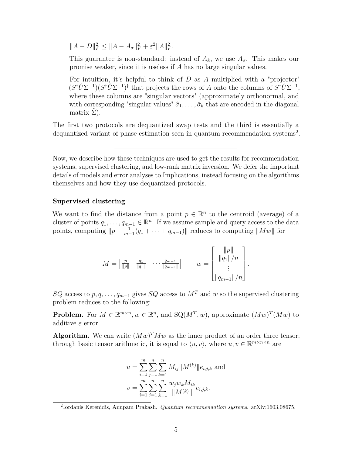$||A - D||_F^2 \le ||A - A_{\sigma}||_F^2 + \varepsilon^2 ||A||_F^2.$ 

This guarantee is non-standard: instead of  $A_k$ , we use  $A_{\sigma}$ . This makes our promise weaker, since it is useless if *A* has no large singular values.

For intuition, it's helpful to think of *D* as *A* multiplied with a "projector"  $(S^{\dagger} \hat{U} \Sigma^{-1}) (S^{\dagger} \hat{U} \Sigma^{-1})^{\dagger}$  that projects the rows of *A* onto the columns of  $S^{\dagger} \hat{U} \Sigma^{-1}$ , where these columns are "singular vectors" (approximately orthonormal, and with corresponding "singular values"  $\hat{\sigma}_1, \ldots, \hat{\sigma}_k$  that are encoded in the diagonal matrix  $\hat{\Sigma}$ ).

The first two protocols are dequantized swap tests and the third is essentially a dequantized variant of phase estimation seen in quantum recommendation systems<sup>[2](#page-4-1)</sup>.

Now, we describe how these techniques are used to get the results for recommendation systems, supervised clustering, and low-rank matrix inversion. We defer the important details of models and error analyses to [Implications,](#page-6-2) instead focusing on the algorithms themselves and how they use dequantized protocols.

#### <span id="page-4-0"></span>**Supervised clustering**

We want to find the distance from a point  $p \in \mathbb{R}^n$  to the centroid (average) of a cluster of points  $q_1, \ldots, q_{m-1} \in \mathbb{R}^n$ . If we assume sample and query access to the data points, computing  $||p - \frac{1}{m}||$  $\frac{1}{m-1}(q_1 + \cdots + q_{m-1})$ || reduces to computing ||*Mw*|| for

$$
M = \begin{bmatrix} \frac{p}{||p||} & \frac{q_1}{||q_1||} & \cdots & \frac{q_{m-1}}{||q_{m-1}||} \end{bmatrix} \qquad w = \begin{bmatrix} ||p|| \\ ||q_1||/n \\ \vdots \\ ||q_{m-1}||/n \end{bmatrix}.
$$

*SQ* access to  $p, q, \ldots, q_{m-1}$  gives *SQ* access to  $M<sup>T</sup>$  and *w* so the supervised clustering problem reduces to the following:

**Problem.** For  $M \in \mathbb{R}^{m \times n}$ ,  $w \in \mathbb{R}^n$ , and  $\text{SQ}(M^T, w)$ , approximate  $(Mw)^T(Mw)$  to additive *ε* error.

**Algorithm.** We can write  $(Mw)^T M w$  as the inner product of an order three tensor; through basic tensor arithmetic, it is equal to  $\langle u, v \rangle$ , where  $u, v \in \mathbb{R}^{m \times n \times n}$  are

$$
u = \sum_{i=1}^{m} \sum_{j=1}^{n} \sum_{k=1}^{n} M_{ij} ||M^{(k)}|| e_{i,j,k}
$$
 and  

$$
v = \sum_{i=1}^{m} \sum_{j=1}^{n} \sum_{k=1}^{n} \frac{w_j w_k M_{ik}}{||M^{(k)}||} e_{i,j,k}.
$$

<span id="page-4-1"></span><sup>2</sup> Iordanis Kerenidis, Anupam Prakash. *Quantum recommendation systems*. [arXiv:1603.08675.](https://arxiv.org/abs/1603.08675)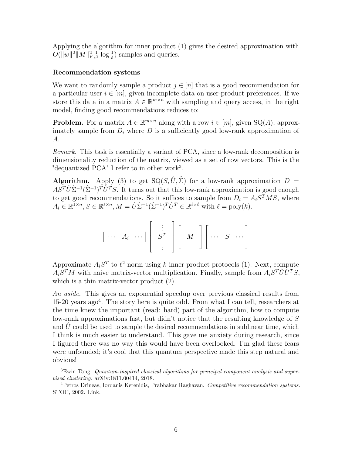Applying the algorithm for inner product (1) gives the desired approximation with  $O(\|w\|^2 \|M\|_F^2 \frac{1}{\varepsilon^2}$  $\frac{1}{\varepsilon^2}$  log  $\frac{1}{\delta}$ ) samples and queries.

#### <span id="page-5-0"></span>**Recommendation systems**

We want to randomly sample a product  $j \in [n]$  that is a good recommendation for a particular user  $i \in [m]$ , given incomplete data on user-product preferences. If we store this data in a matrix  $A \in \mathbb{R}^{m \times n}$  with sampling and query access, in the right model, finding good recommendations reduces to:

**Problem.** For a matrix  $A \in \mathbb{R}^{m \times n}$  along with a row  $i \in [m]$ , given  $SQ(A)$ , approximately sample from  $D_i$  where  $D$  is a sufficiently good low-rank approximation of *A*.

*Remark.* This task is essentially a variant of PCA, since a low-rank decomposition is dimensionality reduction of the matrix, viewed as a set of row vectors. This is the "dequantized PCA" I refer to in other work<sup>[3](#page-5-1)</sup>.

**Algorithm.** Apply (3) to get  $\text{SQ}(S, \hat{U}, \hat{\Sigma})$  for a low-rank approximation  $D =$  $AS^T\hat{U}\hat{\Sigma}^{-1}(\hat{\Sigma}^{-1})^T\hat{U}^TS$ . It turns out that this low-rank approximation is good enough to get good recommendations. So it suffices to sample from  $D_i = A_i S^T M S$ , where  $A_i \in \mathbb{R}^{1 \times n}, S \in \mathbb{R}^{\ell \times n}, M = \hat{U} \hat{\Sigma}^{-1} (\hat{\Sigma}^{-1})^T \hat{U}^T \in \mathbb{R}^{\ell \times \ell}$  with  $\ell = \text{poly}(k)$ .

$$
\begin{bmatrix} \cdots & A_i & \cdots \end{bmatrix} \begin{bmatrix} \vdots \\ S^T \\ \vdots \end{bmatrix} \begin{bmatrix} M \\ M \end{bmatrix} \begin{bmatrix} \cdots & S & \cdots \end{bmatrix}
$$

Approximate  $A_i S^T$  to  $\ell^2$  norm using *k* inner product protocols (1). Next, compute  $A_i S^T M$  with naive matrix-vector multiplication. Finally, sample from  $A_i S^T \hat{U} \hat{U}^T S$ , which is a thin matrix-vector product (2).

*An aside.* This gives an exponential speedup over previous classical results from 15-20 years ago[4](#page-5-2) . The story here is quite odd. From what I can tell, researchers at the time knew the important (read: hard) part of the algorithm, how to compute low-rank approximations fast, but didn't notice that the resulting knowledge of *S* and *U* could be used to sample the desired recommendations in sublinear time, which I think is much easier to understand. This gave me anxiety during research, since I figured there was no way this would have been overlooked. I'm glad these fears were unfounded; it's cool that this quantum perspective made this step natural and obvious!

<span id="page-5-1"></span><sup>3</sup>Ewin Tang. *Quantum-inspired classical algorithms for principal component analysis and supervised clustering*. [arXiv:1811.00414,](https://arxiv.org/abs/1811.00414) 2018.

<span id="page-5-2"></span><sup>4</sup>Petros Drineas, Iordanis Kerenidis, Prabhakar Raghavan. *Competitive recommendation systems*. STOC, 2002. [Link.](https://www.irif.fr/~jkeren/jkeren/CV_Pubs_files/DKR02.pdf)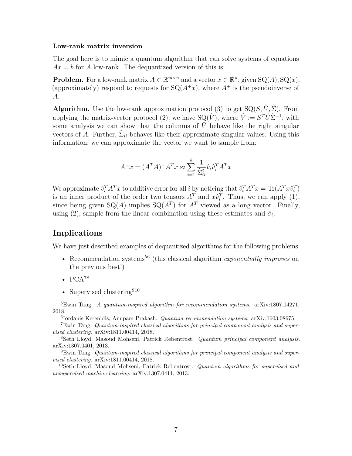#### <span id="page-6-0"></span>**Low-rank matrix inversion**

The goal here is to mimic a quantum algorithm that can solve systems of equations  $Ax = b$  for *A* low-rank. The dequantized version of this is:

**Problem.** For a low-rank matrix  $A \in \mathbb{R}^{m \times n}$  and a vector  $x \in \mathbb{R}^n$ , given  $\mathrm{SQ}(A)$ ,  $\mathrm{SQ}(x)$ , (approximately) respond to requests for  $SQ(A^+x)$ , where  $A^+$  is the pseudoinverse of *A*.

**Algorithm.** Use the low-rank approximation protocol (3) to get  $SQ(S, \hat{U}, \hat{\Sigma})$ . From applying the matrix-vector protocol (2), we have  $\text{SQ}(\hat{V})$ , where  $\hat{V} := S^T \hat{U} \hat{\Sigma}^{-1}$ ; with some analysis we can show that the columns of  $\hat{V}$  behave like the right singular vectors of *A*. Further,  $\hat{\Sigma}_{ii}$  behaves like their approximate singular values. Using this information, we can approximate the vector we want to sample from:

$$
A^+x = (A^T A)^+ A^T x \approx \sum_{i=1}^k \frac{1}{\hat{\Sigma}_{ii}^2} \hat{v}_i \hat{v}_i^T A^T x
$$

We approximate  $\hat{v}_i^T A^T x$  to additive error for all i by noticing that  $\hat{v}_i^T A^T x = \text{Tr}(A^T x \hat{v}_i^T)$ is an inner product of the order two tensors  $A<sup>T</sup>$  and  $x\hat{v}_i<sup>T</sup>$ . Thus, we can apply (1), since being given  $SQ(A)$  implies  $SQ(A^T)$  for  $A^T$  viewed as a long vector. Finally, using (2), sample from the linear combination using these estimates and  $\hat{\sigma}_i$ .

### <span id="page-6-2"></span><span id="page-6-1"></span>**Implications**

We have just described examples of dequantized algorithms for the following problems:

- Recommendation systems[5](#page-6-3)[6](#page-6-4) (this classical algorithm *exponentially improves* on the previous best!)
- $PCA^{78}$  $PCA^{78}$  $PCA^{78}$  $PCA^{78}$
- <span id="page-6-3"></span>• Supervised clustering  $910$  $910$

<sup>5</sup>Ewin Tang. *A quantum-inspired algorithm for recommendation systems*. [arXiv:1807.04271,](https://arxiv.org/abs/1807.04271) 2018.

<span id="page-6-5"></span><span id="page-6-4"></span><sup>6</sup> Iordanis Kerenidis, Anupam Prakash. *Quantum recommendation systems*. [arXiv:1603.08675.](https://arxiv.org/abs/1603.08675)

<sup>7</sup>Ewin Tang. *Quantum-inspired classical algorithms for principal component analysis and supervised clustering*. [arXiv:1811.00414,](https://arxiv.org/abs/1811.00414) 2018.

<span id="page-6-6"></span><sup>8</sup>Seth Lloyd, Masoud Mohseni, Patrick Rebentrost. *Quantum principal component analysis*. [arXiv:1307.0401,](https://arxiv.org/abs/1307.0401) 2013.

<span id="page-6-7"></span><sup>9</sup>Ewin Tang. *Quantum-inspired classical algorithms for principal component analysis and supervised clustering*. [arXiv:1811.00414,](https://arxiv.org/abs/1811.00414) 2018.

<span id="page-6-8"></span><sup>10</sup>Seth Lloyd, Masoud Mohseni, Patrick Rebentrost. *Quantum algorithms for supervised and unsupervised machine learning*. [arXiv:1307.0411,](https://arxiv.org/abs/1307.0411) 2013.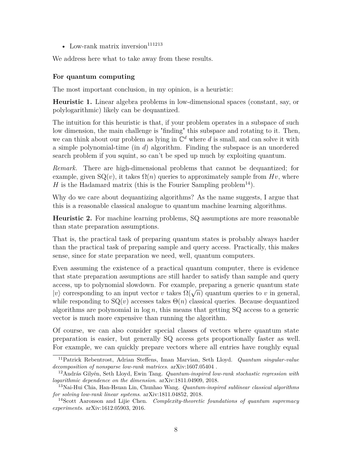• Low-rank matrix inversion $111213$  $111213$  $111213$ 

We address here what to take away from these results.

## <span id="page-7-0"></span>**For quantum computing**

The most important conclusion, in my opinion, is a heuristic:

**Heuristic 1.** Linear algebra problems in low-dimensional spaces (constant, say, or polylogarithmic) likely can be dequantized.

The intuition for this heuristic is that, if your problem operates in a subspace of such low dimension, the main challenge is "finding" this subspace and rotating to it. Then, we can think about our problem as lying in  $\mathbb{C}^d$  where *d* is small, and can solve it with a simple polynomial-time (in *d*) algorithm. Finding the subspace is an unordered search problem if you squint, so can't be sped up much by exploiting quantum.

*Remark.* There are high-dimensional problems that cannot be dequantized; for example, given  $\mathcal{S}Q(v)$ , it takes  $\Omega(n)$  queries to approximately sample from  $Hv$ , where *H* is the Hadamard matrix (this is the Fourier Sampling problem<sup>[14](#page-7-4)</sup>).

Why do we care about dequantizing algorithms? As the name suggests, I argue that this is a reasonable classical analogue to quantum machine learning algorithms.

**Heuristic 2.** For machine learning problems, SQ assumptions are more reasonable than state preparation assumptions.

That is, the practical task of preparing quantum states is probably always harder than the practical task of preparing sample and query access. Practically, this makes sense, since for state preparation we need, well, quantum computers.

Even assuming the existence of a practical quantum computer, there is evidence that state preparation assumptions are still harder to satisfy than sample and query access, up to polynomial slowdown. For example, preparing a generic quantum state  $|v\rangle$  corresponding to an input vector *v* takes  $\Omega(\sqrt{n})$  quantum queries to *v* in general, while responding to  $\mathcal{S}(v)$  accesses takes  $\Theta(n)$  classical queries. Because dequantized algorithms are polynomial in  $\log n$ , this means that getting SQ access to a generic vector is much more expensive than running the algorithm.

Of course, we can also consider special classes of vectors where quantum state preparation is easier, but generally SQ access gets proportionally faster as well. For example, we can quickly prepare vectors where all entries have roughly equal

<span id="page-7-1"></span><sup>11</sup>Patrick Rebentrost, Adrian Steffens, Iman Marvian, Seth Lloyd. *Quantum singular-value decomposition of nonsparse low-rank matrices*. [arXiv:1607.05404](https://arxiv.org/abs/1607.05404) .

<span id="page-7-2"></span><sup>12</sup>András Gilyén, Seth Lloyd, Ewin Tang. *Quantum-inspired low-rank stochastic regression with logarithmic dependence on the dimension*. [arXiv:1811.04909,](https://arxiv.org/abs/1811.04909) 2018.

<span id="page-7-3"></span><sup>13</sup>Nai-Hui Chia, Han-Hsuan Lin, Chunhao Wang. *Quantum-inspired sublinear classical algorithms for solving low-rank linear systems*. [arXiv:1811.04852,](https://arxiv.org/abs/1811.04852) 2018.

<span id="page-7-4"></span><sup>14</sup>Scott Aaronson and Lijie Chen. *Complexity-theoretic foundations of quantum supremacy experiments*. [arXiv:1612.05903,](https://arxiv.org/abs/1612.05903) 2016.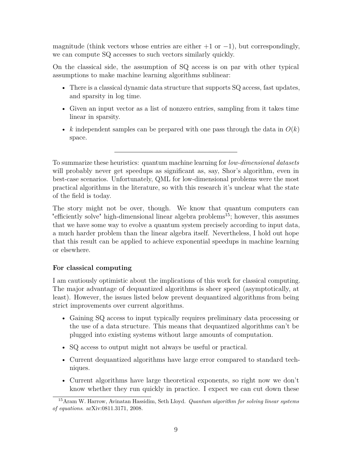magnitude (think vectors whose entries are either  $+1$  or  $-1$ ), but correspondingly, we can compute SQ accesses to such vectors similarly quickly.

On the classical side, the assumption of SQ access is on par with other typical assumptions to make machine learning algorithms sublinear:

- There is a classical dynamic data structure that supports SQ access, fast updates, and sparsity in log time.
- Given an input vector as a list of nonzero entries, sampling from it takes time linear in sparsity.
- *k* independent samples can be prepared with one pass through the data in  $O(k)$ space.

To summarize these heuristics: quantum machine learning for *low-dimensional datasets* will probably never get speedups as significant as, say, Shor's algorithm, even in best-case scenarios. Unfortunately, QML for low-dimensional problems were the most practical algorithms in the literature, so with this research it's unclear what the state of the field is today.

The story might not be over, though. We know that quantum computers can "efficiently solve" high-dimensional linear algebra problems<sup>[15](#page-8-1)</sup>; however, this assumes that we have some way to evolve a quantum system precisely according to input data, a much harder problem than the linear algebra itself. Nevertheless, I hold out hope that this result can be applied to achieve exponential speedups in machine learning or elsewhere.

## <span id="page-8-0"></span>**For classical computing**

I am cautiously optimistic about the implications of this work for classical computing. The major advantage of dequantized algorithms is sheer speed (asymptotically, at least). However, the issues listed below prevent dequantized algorithms from being strict improvements over current algorithms.

- Gaining SQ access to input typically requires preliminary data processing or the use of a data structure. This means that dequantized algorithms can't be plugged into existing systems without large amounts of computation.
- SQ access to output might not always be useful or practical.
- Current dequantized algorithms have large error compared to standard techniques.
- Current algorithms have large theoretical exponents, so right now we don't know whether they run quickly in practice. I expect we can cut down these

<span id="page-8-1"></span><sup>15</sup>Aram W. Harrow, Avinatan Hassidim, Seth Lloyd. *Quantum algorithm for solving linear systems of equations*. [arXiv:0811.3171,](https://arxiv.org/abs/0811.3171) 2008.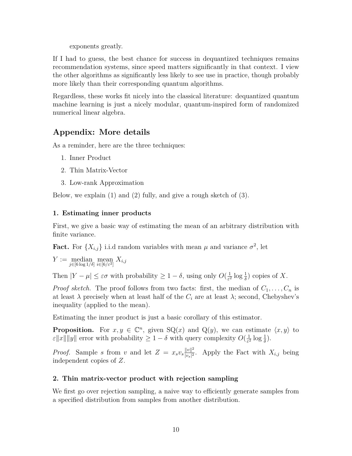exponents greatly.

If I had to guess, the best chance for success in dequantized techniques remains recommendation systems, since speed matters significantly in that context. I view the other algorithms as significantly less likely to see use in practice, though probably more likely than their corresponding quantum algorithms.

Regardless, these works fit nicely into the classical literature: dequantized quantum machine learning is just a nicely modular, quantum-inspired form of randomized numerical linear algebra.

## <span id="page-9-0"></span>**Appendix: More details**

As a reminder, here are the three techniques:

- 1. Inner Product
- 2. Thin Matrix-Vector
- 3. Low-rank Approximation

Below, we explain (1) and (2) fully, and give a rough sketch of (3).

### <span id="page-9-1"></span>**1. Estimating inner products**

First, we give a basic way of estimating the mean of an arbitrary distribution with finite variance.

**Fact.** For  $\{X_{i,j}\}\$ i.i.d random variables with mean  $\mu$  and variance  $\sigma^2$ , let

$$
Y := \operatorname*{median}_{j \in [6 \log 1/\delta]} \operatorname*{mean}_{i \in [6/\varepsilon^2]} X_{i,j}
$$

Then  $|Y - \mu| \leq \varepsilon \sigma$  with probability  $\geq 1 - \delta$ , using only  $O(\frac{1}{\varepsilon \delta})$  $\frac{1}{\varepsilon^2}$  log  $\frac{1}{\delta}$ ) copies of *X*.

*Proof sketch.* The proof follows from two facts: first, the median of  $C_1, \ldots, C_n$  is at least  $\lambda$  precisely when at least half of the  $C_i$  are at least  $\lambda$ ; second, [Chebyshev's](https://en.wikipedia.org/wiki/Chebyshev%27s_inequality#Probabilistic_statement) [inequality](https://en.wikipedia.org/wiki/Chebyshev%27s_inequality#Probabilistic_statement) (applied to the mean).

Estimating the inner product is just a basic corollary of this estimator.

**Proposition.** For  $x, y \in \mathbb{C}^n$ , given  $\mathrm{SQ}(x)$  and  $\mathrm{Q}(y)$ , we can estimate  $\langle x, y \rangle$  to  $\varepsilon$ ||x||||y|| error with probability  $\geq 1 - \delta$  with query complexity  $O(\frac{1}{\varepsilon^2})$  $\frac{1}{\varepsilon^2} \log \frac{1}{\delta}$ ).

*Proof.* Sample *s* from *v* and let  $Z = x_s v_s \frac{||v||^2}{||v||^2}$  $\frac{\|v\|^2}{\|v_s\|^2}$ . Apply the Fact with  $X_{i,j}$  being independent copies of *Z*.

### <span id="page-9-2"></span>**2. Thin matrix-vector product with rejection sampling**

We first go over rejection sampling, a naive way to efficiently generate samples from a specified distribution from samples from another distribution.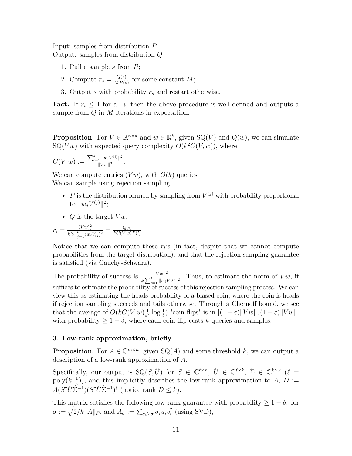Input: samples from distribution *P* Output: samples from distribution *Q*

- 1. Pull a sample *s* from *P*;
- 2. Compute  $r_s = \frac{Q(s)}{MP(s)}$  $\frac{Q(s)}{MP(s)}$  for some constant *M*;
- 3. Output *s* with probability *r<sup>s</sup>* and restart otherwise.

**Fact.** If  $r_i \leq 1$  for all *i*, then the above procedure is well-defined and outputs a sample from *Q* in *M* iterations in expectation.

**Proposition.** For  $V \in \mathbb{R}^{n \times k}$  and  $w \in \mathbb{R}^k$ , given  $\mathrm{SQ}(V)$  and  $\mathrm{Q}(w)$ , we can simulate SQ(*Vw*) with expected query complexity  $O(k^2C(V, w))$ , where

$$
C(V, w) := \frac{\sum_{i=1}^k \|w_i V^{(i)}\|^2}{\|Vw\|^2}.
$$

We can compute entries  $(Vw)_i$  with  $O(k)$  queries. We can sample using rejection sampling:

- *P* is the distribution formed by sampling from  $V^{(j)}$  with probability proportional to  $||w_jV^{(j)}||^2$ ;
- $Q$  is the target  $Vw$ .

$$
r_i = \frac{(Vw)_i^2}{k \sum_{j=1}^k (w_j V_{ij})^2} = \frac{Q(i)}{k C(V, w) P(i)}
$$

Notice that we can compute these  $r_i$ 's (in fact, despite that we cannot compute probabilities from the target distribution), and that the rejection sampling guarantee is satisfied (via Cauchy-Schwarz).

The probability of success is  $\frac{\|Vw\|^2}{\sqrt{2K}}$  $\frac{\|Vw\|^2}{k \sum_{i=1}^k \|w_i V^{(i)}\|^2}$ . Thus, to estimate the norm of *Vw*, it suffices to estimate the probability of success of this rejection sampling process. We can view this as estimating the heads probability of a biased coin, where the coin is heads if rejection sampling succeeds and tails otherwise. Through a [Chernoff bound,](https://en.wikipedia.org/wiki/Chernoff_bound#Multiplicative_form_(relative_error)) we see that the average of  $O(kC(V, w))\frac{1}{\epsilon^2}$  $\frac{1}{\varepsilon^2} \log \frac{1}{\delta}$  "coin flips" is in  $[(1-\varepsilon)||Vw||, (1+\varepsilon)||Vw||]$ with probability  $\geq 1 - \delta$ , where each coin flip costs *k* queries and samples.

#### <span id="page-10-0"></span>**3. Low-rank approximation, briefly**

**Proposition.** For  $A \in \mathbb{C}^{m \times n}$ , given  $\mathrm{SQ}(A)$  and some threshold k, we can output a description of a low-rank approximation of *A*.

Specifically, our output is  $\mathrm{SQ}(S, \hat{U})$  for  $S \in \mathbb{C}^{\ell \times n}$ ,  $\hat{U} \in \mathbb{C}^{\ell \times k}$ ,  $\hat{\Sigma} \in \mathbb{C}^{k \times k}$  ( $\ell =$ poly $(k, \frac{1}{\varepsilon})$ ), and this implicitly describes the low-rank approximation to *A*, *D* :=  $A(S^{\dagger} \hat{U} \hat{\Sigma}^{-1}) (S^{\dagger} \hat{U} \hat{\Sigma}^{-1})^{\dagger}$  (notice rank  $D \leq k$ ).

This matrix satisfies the following low-rank guarantee with probability  $\geq 1 - \delta$ : for  $\sigma := \sqrt{2/k} ||A||_F$ , and  $A_{\sigma} := \sum_{\sigma_i \geq \sigma} \sigma_i u_i v_i^{\dagger}$  $\iota$ <sup>t</sup> (using SVD),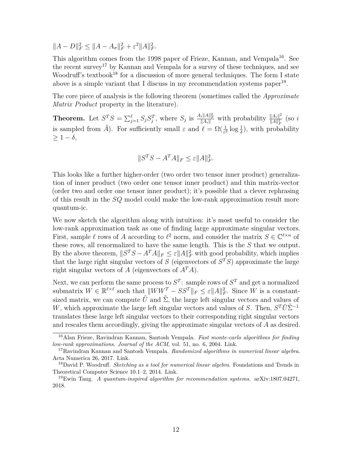$||A - D||_F^2 \le ||A - A_{\sigma}||_F^2 + \varepsilon^2 ||A||_F^2.$ 

This algorithm comes from the 1998 paper of Frieze, Kannan, and Vempala<sup>[16](#page-11-1)</sup>. See the recent survey<sup>[17](#page-11-2)</sup> by Kannan and Vempala for a survey of these techniques, and see Woodruff's textbook<sup>[18](#page-11-3)</sup> for a discussion of more general techniques. The form I state above is a simple variant that I discuss in my recommendation systems paper<sup>[19](#page-11-4)</sup>.

The core piece of analysis is the following theorem (sometimes called the *Approximate Matrix Product* property in the literature).

**Theorem.** Let  $S^TS = \sum_{j=1}^{\ell} S_j S_j^T$ , where  $S_j$  is  $\frac{A_i ||A||_F^2}{||A_i||}$  with probability  $\frac{||A_i||^2}{||A||_F^2}$  $\frac{\|A_i\|^2}{\|A\|_F^2}$  (so *i* is sampled from  $\tilde{A}$ ). For sufficiently small  $\varepsilon$  and  $\ell = \Omega(\frac{1}{\varepsilon^2} \log \frac{1}{\delta})$ , with probability  $> 1 - \delta$ ,

$$
||S^TS - A^T A||_F \le \varepsilon ||A||_F^2.
$$

This looks like a further higher-order (two order two tensor inner product) generalization of inner product (two order one tensor inner product) and thin matrix-vector (order two and order one tensor inner product); it's possible that a clever rephrasing of this result in the *SQ* model could make the low-rank approximation result more quantum-ic.

We now sketch the algorithm along with intuition: it's most useful to consider the low-rank approximation task as one of finding large approximate singular vectors. First, sample  $\ell$  rows of *A* according to  $\ell^2$  norm, and consider the matrix  $S \in \mathbb{C}^{\ell \times n}$  of these rows, all renormalized to have the same length. This is the *S* that we output. By the above theorem,  $||S^T S - A^T A||_F \leq \varepsilon ||A||_F^2$  with good probability, which implies that the large right singular vectors of  $S$  (eigenvectors of  $S<sup>T</sup>S$ ) approximate the large right singular vectors of *A* (eigenvectors of  $A<sup>T</sup>A$ ).

Next, we can perform the same process to  $S<sup>T</sup>$ : sample rows of  $S<sup>T</sup>$  and get a normalized submatrix  $W \in \mathbb{R}^{\ell \times \ell}$  such that  $||WW^T - SS^T||_F \leq \varepsilon ||A||_F^2$ . Since *W* is a constantsized matrix, we can compute  $\hat{U}$  and  $\hat{\Sigma}$ , the large left singular vectors and values of *W*, which approximate the large left singular vectors and values of *S*. Then,  $S^T\hat{U}\hat{\Sigma}^{-1}$ translates these large left singular vectors to their corresponding right singular vectors and rescales them accordingly, giving the approximate singular vectors of *A* as desired.

<span id="page-11-1"></span><span id="page-11-0"></span><sup>16</sup>Alan Frieze, Ravindran Kannan, Santosh Vempala. *Fast monte-carlo algorithms for finding low-rank approximations*. *Journal of the ACM*, vol. 51, no. 6, 2004. [Link.](https://www.math.cmu.edu/~af1p/Texfiles/SVD.pdf)

<span id="page-11-2"></span><sup>17</sup>Ravindran Kannan and Santosh Vempala. *Randomized algorithms in numerical linear algebra*. Acta Numerica 26, 2017. [Link.](https://www.cc.gatech.edu/~vempala/papers/acta_survey.pdf)

<span id="page-11-3"></span><sup>18</sup>David P. Woodruff. *Sketching as a tool for numerical linear algebra*. Foundations and Trends in Theoretical Computer Science 10.1–2, 2014. [Link.](https://researcher.watson.ibm.com/researcher/files/us-dpwoodru/wNow.pdf)

<span id="page-11-4"></span><sup>19</sup>Ewin Tang. *A quantum-inspired algorithm for recommendation systems*. [arXiv:1807.04271,](https://arxiv.org/abs/1807.04271) 2018.